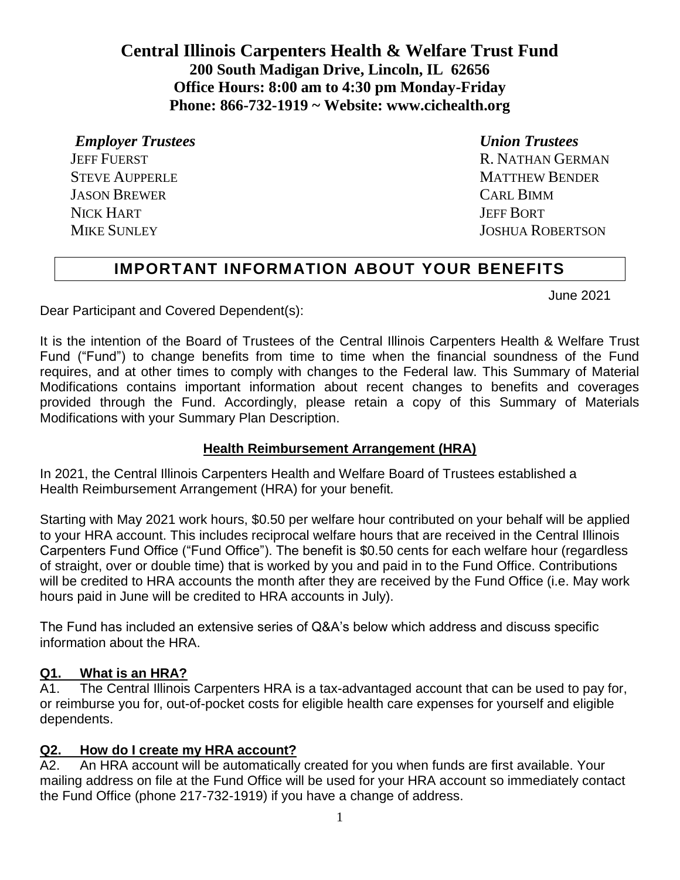**Central Illinois Carpenters Health & Welfare Trust Fund 200 South Madigan Drive, Lincoln, IL 62656 Office Hours: 8:00 am to 4:30 pm Monday-Friday Phone: 866-732-1919 ~ Website: [www.cichealth.org](http://www.cichealth.org/)**

*Employer Trustees Union Trustees* JASON BREWER CARL BIMM NICK HART JEFF BORT

JEFF FUERST R. NATHAN GERMAN STEVE AUPPERLE **MATTHEW BENDER** MIKE SUNLEY JOSHUA ROBERTSON

# **IMPORTANT INFORMATION ABOUT YOUR BENEFITS**

June 2021

Dear Participant and Covered Dependent(s):

It is the intention of the Board of Trustees of the Central Illinois Carpenters Health & Welfare Trust Fund ("Fund") to change benefits from time to time when the financial soundness of the Fund requires, and at other times to comply with changes to the Federal law. This Summary of Material Modifications contains important information about recent changes to benefits and coverages provided through the Fund. Accordingly, please retain a copy of this Summary of Materials Modifications with your Summary Plan Description.

## **Health Reimbursement Arrangement (HRA)**

In 2021, the Central Illinois Carpenters Health and Welfare Board of Trustees established a Health Reimbursement Arrangement (HRA) for your benefit.

Starting with May 2021 work hours, \$0.50 per welfare hour contributed on your behalf will be applied to your HRA account. This includes reciprocal welfare hours that are received in the Central Illinois Carpenters Fund Office ("Fund Office"). The benefit is \$0.50 cents for each welfare hour (regardless of straight, over or double time) that is worked by you and paid in to the Fund Office. Contributions will be credited to HRA accounts the month after they are received by the Fund Office (i.e. May work hours paid in June will be credited to HRA accounts in July).

The Fund has included an extensive series of Q&A's below which address and discuss specific information about the HRA.

### **Q1. What is an HRA?**

A1. The Central Illinois Carpenters HRA is a tax-advantaged account that can be used to pay for, or reimburse you for, out-of-pocket costs for eligible health care expenses for yourself and eligible dependents.

### **Q2. How do I create my HRA account?**

A2. An HRA account will be automatically created for you when funds are first available. Your mailing address on file at the Fund Office will be used for your HRA account so immediately contact the Fund Office (phone 217-732-1919) if you have a change of address.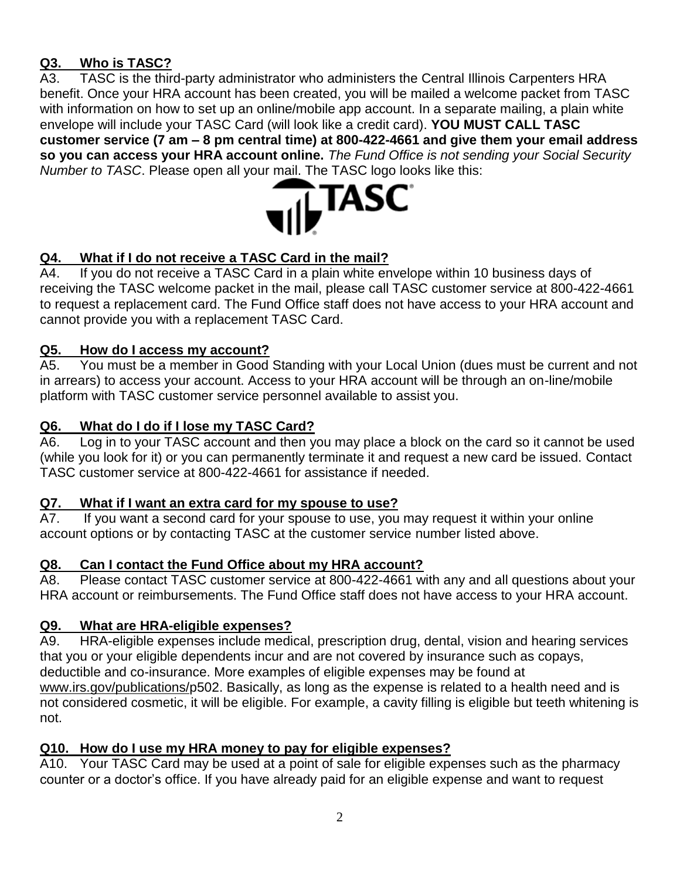## **Q3. Who is TASC?**

A3. TASC is the third-party administrator who administers the Central Illinois Carpenters HRA benefit. Once your HRA account has been created, you will be mailed a welcome packet from TASC with information on how to set up an online/mobile app account. In a separate mailing, a plain white envelope will include your TASC Card (will look like a credit card). **YOU MUST CALL TASC customer service (7 am – 8 pm central time) at 800-422-4661 and give them your email address so you can access your HRA account online.** *The Fund Office is not sending your Social Security Number to TASC*. Please open all your mail. The TASC logo looks like this:



# **Q4. What if I do not receive a TASC Card in the mail?**

A4. If you do not receive a TASC Card in a plain white envelope within 10 business days of receiving the TASC welcome packet in the mail, please call TASC customer service at 800-422-4661 to request a replacement card. The Fund Office staff does not have access to your HRA account and cannot provide you with a replacement TASC Card.

### **Q5. How do I access my account?**

A5. You must be a member in Good Standing with your Local Union (dues must be current and not in arrears) to access your account. Access to your HRA account will be through an on-line/mobile platform with TASC customer service personnel available to assist you.

### **Q6. What do I do if I lose my TASC Card?**

A6. Log in to your TASC account and then you may place a block on the card so it cannot be used (while you look for it) or you can permanently terminate it and request a new card be issued. Contact TASC customer service at 800-422-4661 for assistance if needed.

#### **Q7. What if I want an extra card for my spouse to use?**

A7. If you want a second card for your spouse to use, you may request it within your online account options or by contacting TASC at the customer service number listed above.

### **Q8. Can I contact the Fund Office about my HRA account?**

A8. Please contact TASC customer service at 800-422-4661 with any and all questions about your HRA account or reimbursements. The Fund Office staff does not have access to your HRA account.

### **Q9. What are HRA-eligible expenses?**

A9. HRA-eligible expenses include medical, prescription drug, dental, vision and hearing services that you or your eligible dependents incur and are not covered by insurance such as copays, deductible and co-insurance. More examples of eligible expenses may be found at [www.irs.gov/publications/p502.](http://www.irs.gov/publications/p502) Basically, as long as the expense is related to a health need and is not considered cosmetic, it will be eligible. For example, a cavity filling is eligible but teeth whitening is not.

### **Q10. How do I use my HRA money to pay for eligible expenses?**

A10. Your TASC Card may be used at a point of sale for eligible expenses such as the pharmacy counter or a doctor's office. If you have already paid for an eligible expense and want to request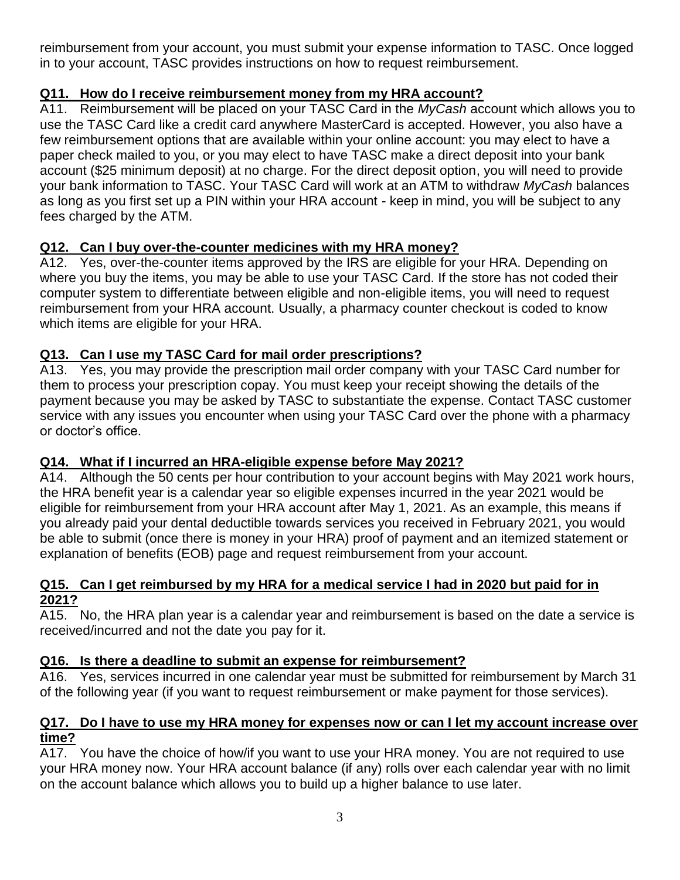reimbursement from your account, you must submit your expense information to TASC. Once logged in to your account, TASC provides instructions on how to request reimbursement.

### **Q11. How do I receive reimbursement money from my HRA account?**

A11. Reimbursement will be placed on your TASC Card in the *MyCash* account which allows you to use the TASC Card like a credit card anywhere MasterCard is accepted. However, you also have a few reimbursement options that are available within your online account: you may elect to have a paper check mailed to you, or you may elect to have TASC make a direct deposit into your bank account (\$25 minimum deposit) at no charge. For the direct deposit option, you will need to provide your bank information to TASC. Your TASC Card will work at an ATM to withdraw *MyCash* balances as long as you first set up a PIN within your HRA account - keep in mind, you will be subject to any fees charged by the ATM.

### **Q12. Can I buy over-the-counter medicines with my HRA money?**

A12. Yes, over-the-counter items approved by the IRS are eligible for your HRA. Depending on where you buy the items, you may be able to use your TASC Card. If the store has not coded their computer system to differentiate between eligible and non-eligible items, you will need to request reimbursement from your HRA account. Usually, a pharmacy counter checkout is coded to know which items are eligible for your HRA.

### **Q13. Can I use my TASC Card for mail order prescriptions?**

A13. Yes, you may provide the prescription mail order company with your TASC Card number for them to process your prescription copay. You must keep your receipt showing the details of the payment because you may be asked by TASC to substantiate the expense. Contact TASC customer service with any issues you encounter when using your TASC Card over the phone with a pharmacy or doctor's office.

### **Q14. What if I incurred an HRA-eligible expense before May 2021?**

A14. Although the 50 cents per hour contribution to your account begins with May 2021 work hours, the HRA benefit year is a calendar year so eligible expenses incurred in the year 2021 would be eligible for reimbursement from your HRA account after May 1, 2021. As an example, this means if you already paid your dental deductible towards services you received in February 2021, you would be able to submit (once there is money in your HRA) proof of payment and an itemized statement or explanation of benefits (EOB) page and request reimbursement from your account.

#### **Q15. Can I get reimbursed by my HRA for a medical service I had in 2020 but paid for in 2021?**

A15. No, the HRA plan year is a calendar year and reimbursement is based on the date a service is received/incurred and not the date you pay for it.

### **Q16. Is there a deadline to submit an expense for reimbursement?**

A16. Yes, services incurred in one calendar year must be submitted for reimbursement by March 31 of the following year (if you want to request reimbursement or make payment for those services).

#### **Q17. Do I have to use my HRA money for expenses now or can I let my account increase over time?**

A17. You have the choice of how/if you want to use your HRA money. You are not required to use your HRA money now. Your HRA account balance (if any) rolls over each calendar year with no limit on the account balance which allows you to build up a higher balance to use later.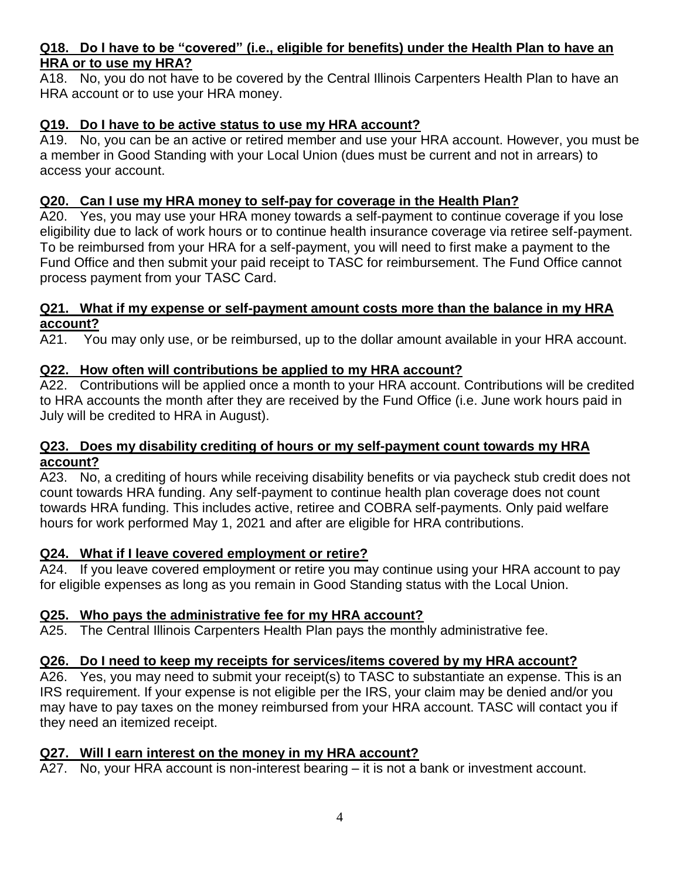#### **Q18. Do I have to be "covered" (i.e., eligible for benefits) under the Health Plan to have an HRA or to use my HRA?**

A18. No, you do not have to be covered by the Central Illinois Carpenters Health Plan to have an HRA account or to use your HRA money.

### **Q19. Do I have to be active status to use my HRA account?**

A19. No, you can be an active or retired member and use your HRA account. However, you must be a member in Good Standing with your Local Union (dues must be current and not in arrears) to access your account.

### **Q20. Can I use my HRA money to self-pay for coverage in the Health Plan?**

A20. Yes, you may use your HRA money towards a self-payment to continue coverage if you lose eligibility due to lack of work hours or to continue health insurance coverage via retiree self-payment. To be reimbursed from your HRA for a self-payment, you will need to first make a payment to the Fund Office and then submit your paid receipt to TASC for reimbursement. The Fund Office cannot process payment from your TASC Card.

#### **Q21. What if my expense or self-payment amount costs more than the balance in my HRA account?**

A21. You may only use, or be reimbursed, up to the dollar amount available in your HRA account.

### **Q22. How often will contributions be applied to my HRA account?**

A22. Contributions will be applied once a month to your HRA account. Contributions will be credited to HRA accounts the month after they are received by the Fund Office (i.e. June work hours paid in July will be credited to HRA in August).

#### **Q23. Does my disability crediting of hours or my self-payment count towards my HRA account?**

A23. No, a crediting of hours while receiving disability benefits or via paycheck stub credit does not count towards HRA funding. Any self-payment to continue health plan coverage does not count towards HRA funding. This includes active, retiree and COBRA self-payments. Only paid welfare hours for work performed May 1, 2021 and after are eligible for HRA contributions.

### **Q24. What if I leave covered employment or retire?**

A24. If you leave covered employment or retire you may continue using your HRA account to pay for eligible expenses as long as you remain in Good Standing status with the Local Union.

#### **Q25. Who pays the administrative fee for my HRA account?**

A25. The Central Illinois Carpenters Health Plan pays the monthly administrative fee.

### **Q26. Do I need to keep my receipts for services/items covered by my HRA account?**

A26. Yes, you may need to submit your receipt(s) to TASC to substantiate an expense. This is an IRS requirement. If your expense is not eligible per the IRS, your claim may be denied and/or you may have to pay taxes on the money reimbursed from your HRA account. TASC will contact you if they need an itemized receipt.

#### **Q27. Will I earn interest on the money in my HRA account?**

A27. No, your HRA account is non-interest bearing – it is not a bank or investment account.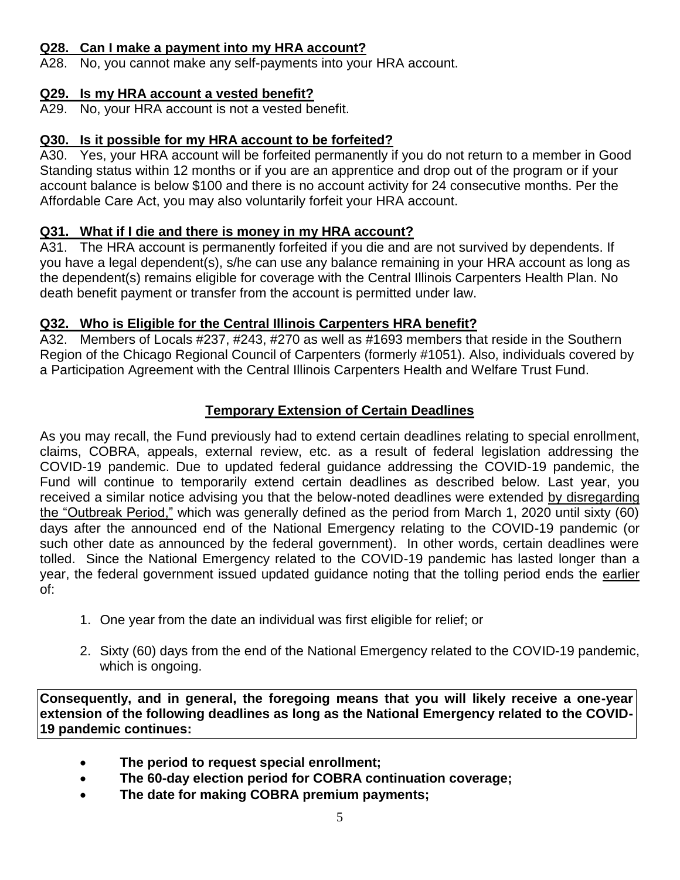#### **Q28. Can I make a payment into my HRA account?**

A28. No, you cannot make any self-payments into your HRA account.

### **Q29. Is my HRA account a vested benefit?**

A29. No, your HRA account is not a vested benefit.

### **Q30. Is it possible for my HRA account to be forfeited?**

A30. Yes, your HRA account will be forfeited permanently if you do not return to a member in Good Standing status within 12 months or if you are an apprentice and drop out of the program or if your account balance is below \$100 and there is no account activity for 24 consecutive months. Per the Affordable Care Act, you may also voluntarily forfeit your HRA account.

### **Q31. What if I die and there is money in my HRA account?**

A31. The HRA account is permanently forfeited if you die and are not survived by dependents. If you have a legal dependent(s), s/he can use any balance remaining in your HRA account as long as the dependent(s) remains eligible for coverage with the Central Illinois Carpenters Health Plan. No death benefit payment or transfer from the account is permitted under law.

### **Q32. Who is Eligible for the Central Illinois Carpenters HRA benefit?**

A32. Members of Locals #237, #243, #270 as well as #1693 members that reside in the Southern Region of the Chicago Regional Council of Carpenters (formerly #1051). Also, individuals covered by a Participation Agreement with the Central Illinois Carpenters Health and Welfare Trust Fund.

### **Temporary Extension of Certain Deadlines**

As you may recall, the Fund previously had to extend certain deadlines relating to special enrollment, claims, COBRA, appeals, external review, etc. as a result of federal legislation addressing the COVID-19 pandemic. Due to updated federal guidance addressing the COVID-19 pandemic, the Fund will continue to temporarily extend certain deadlines as described below. Last year, you received a similar notice advising you that the below-noted deadlines were extended by disregarding the "Outbreak Period," which was generally defined as the period from March 1, 2020 until sixty (60) days after the announced end of the National Emergency relating to the COVID-19 pandemic (or such other date as announced by the federal government). In other words, certain deadlines were tolled. Since the National Emergency related to the COVID-19 pandemic has lasted longer than a year, the federal government issued updated guidance noting that the tolling period ends the earlier of:

- 1. One year from the date an individual was first eligible for relief; or
- 2. Sixty (60) days from the end of the National Emergency related to the COVID-19 pandemic, which is ongoing.

**Consequently, and in general, the foregoing means that you will likely receive a one-year extension of the following deadlines as long as the National Emergency related to the COVID-19 pandemic continues:** 

- **The period to request special enrollment;**
- **The 60-day election period for COBRA continuation coverage;**
- **The date for making COBRA premium payments;**